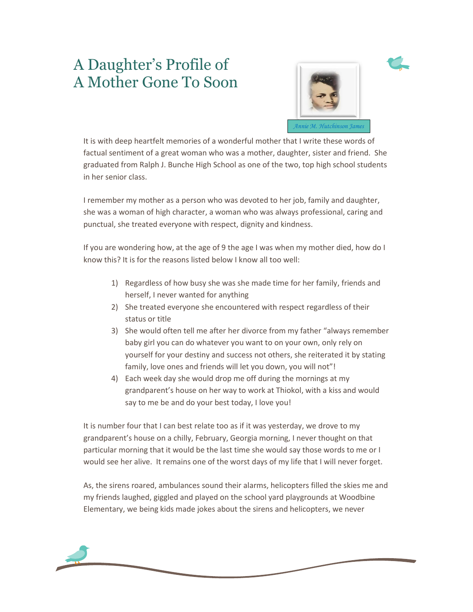## A Daughter's Profile of A Mother Gone To Soon



It is with deep heartfelt memories of a wonderful mother that I write these words of factual sentiment of a great woman who was a mother, daughter, sister and friend. She graduated from Ralph J. Bunche High School as one of the two, top high school students in her senior class.

I remember my mother as a person who was devoted to her job, family and daughter, she was a woman of high character, a woman who was always professional, caring and punctual, she treated everyone with respect, dignity and kindness.

If you are wondering how, at the age of 9 the age I was when my mother died, how do I know this? It is for the reasons listed below I know all too well:

- 1) Regardless of how busy she was she made time for her family, friends and herself, I never wanted for anything
- 2) She treated everyone she encountered with respect regardless of their status or title
- 3) She would often tell me after her divorce from my father "always remember baby girl you can do whatever you want to on your own, only rely on yourself for your destiny and success not others, she reiterated it by stating family, love ones and friends will let you down, you will not"!
- 4) Each week day she would drop me off during the mornings at my grandparent's house on her way to work at Thiokol, with a kiss and would say to me be and do your best today, I love you!

It is number four that I can best relate too as if it was yesterday, we drove to my grandparent's house on a chilly, February, Georgia morning, I never thought on that particular morning that it would be the last time she would say those words to me or I would see her alive. It remains one of the worst days of my life that I will never forget.

As, the sirens roared, ambulances sound their alarms, helicopters filled the skies me and my friends laughed, giggled and played on the school yard playgrounds at Woodbine Elementary, we being kids made jokes about the sirens and helicopters, we never